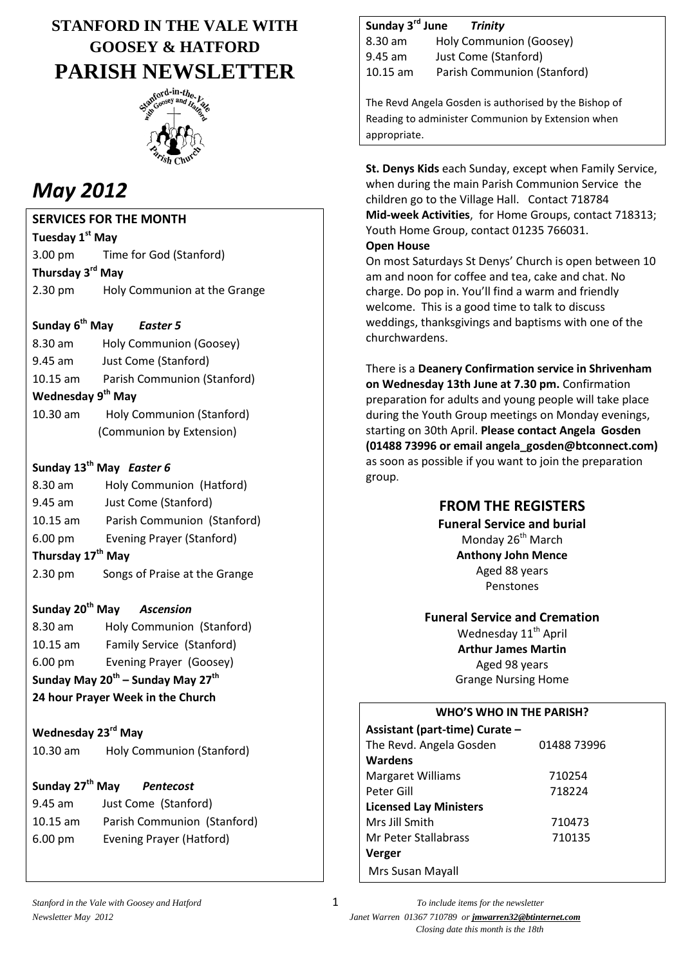## **STANFORD IN THE VALE WITH GOOSEY & HATFORD PARISH NEWSLETTER**



# *May 2012*

**SERVICES FOR THE MONTH**

**Tuesday 1st May** 3.00 pm Time for God (Stanford) **Thursday 3 rd May**

2.30 pm Holy Communion at the Grange

#### Sunday 6<sup>th</sup> May **Easter 5**

8.30 am Holy Communion (Goosey) 9.45 am Just Come (Stanford) 10.15 am Parish Communion (Stanford) **Wednesday 9 th May** 10.30 am Holy Communion (Stanford)

(Communion by Extension)

### **Sunday 13th May** *Easter 6*

- 8.30 am Holy Communion (Hatford) 9.45 am Just Come (Stanford) 10.15 am Parish Communion (Stanford) 6.00 pm Evening Prayer (Stanford) **Thursday 17th May**
- 2.30 pm Songs of Praise at the Grange

### **Sunday 20th May** *Ascension*

8.30 am Holy Communion (Stanford) 10.15 am Family Service (Stanford) 6.00 pm Evening Prayer (Goosey) **Sunday May 20th – Sunday May 27th**

**24 hour Prayer Week in the Church**

### **Wednesday 23rd May**

10.30 am Holy Communion (Stanford)

| Sunday 27 <sup>th</sup> May |  | Pentecost            |  |
|-----------------------------|--|----------------------|--|
| 9.45 am                     |  | Just Come (Stanford) |  |
|                             |  |                      |  |

10.15 am Parish Communion (Stanford) 6.00 pm Evening Prayer (Hatford)

### **Sunday 3rd June** *Trinity*

8.30 am Holy Communion (Goosey) 9.45 am Just Come (Stanford) 10.15 am Parish Communion (Stanford)

The Revd Angela Gosden is authorised by the Bishop of Reading to administer Communion by Extension when appropriate.

**St. Denys Kids** each Sunday, except when Family Service, when during the main Parish Communion Service the children go to the Village Hall. Contact 718784 **Mid-week Activities**, for Home Groups, contact 718313; Youth Home Group, contact 01235 766031.

#### **Open House**

On most Saturdays St Denys' Church is open between 10 am and noon for coffee and tea, cake and chat. No charge. Do pop in. You'll find a warm and friendly welcome. This is a good time to talk to discuss weddings, thanksgivings and baptisms with one of the churchwardens.

There is a **Deanery Confirmation service in Shrivenham on Wednesday 13th June at 7.30 pm.** Confirmation preparation for adults and young people will take place during the Youth Group meetings on Monday evenings, starting on 30th April. **Please contact Angela Gosden (01488 73996 or email [angela\\_gosden@btconnect.com\)](mailto:angela_gosden@btconnect.com)** as soon as possible if you want to join the preparation group.

### **FROM THE REGISTERS**

**Funeral Service and burial** Monday 26<sup>th</sup> March **Anthony John Mence** Aged 88 years Penstones

**Funeral Service and Cremation** Wednesday 11<sup>th</sup> April **Arthur James Martin**

Aged 98 years Grange Nursing Home

### **WHO'S WHO IN THE PARISH?**

| Assistant (part-time) Curate - |             |
|--------------------------------|-------------|
| The Revd. Angela Gosden        | 01488 73996 |
| <b>Wardens</b>                 |             |
| <b>Margaret Williams</b>       | 710254      |
| Peter Gill                     | 718224      |
| <b>Licensed Lay Ministers</b>  |             |
| Mrs Jill Smith                 | 710473      |
| Mr Peter Stallabrass           | 710135      |
| Verger                         |             |
| Mrs Susan Mayall               |             |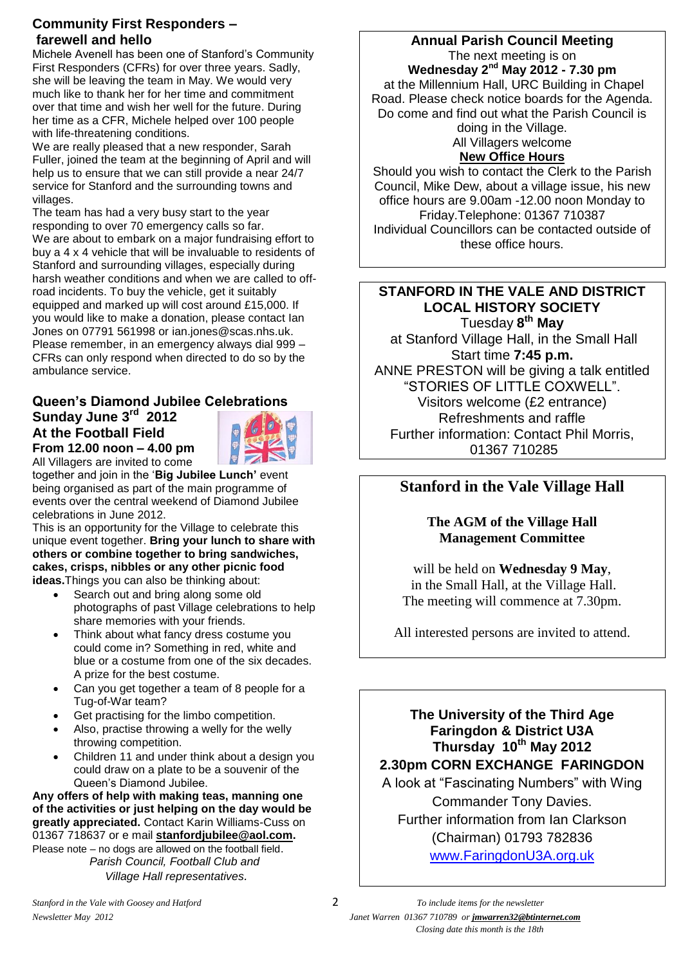### **Community First Responders – farewell and hello**

Michele Avenell has been one of Stanford's Community First Responders (CFRs) for over three years. Sadly, she will be leaving the team in May. We would very much like to thank her for her time and commitment over that time and wish her well for the future. During her time as a CFR, Michele helped over 100 people with life-threatening conditions.

We are really pleased that a new responder, Sarah Fuller, joined the team at the beginning of April and will help us to ensure that we can still provide a near 24/7 service for Stanford and the surrounding towns and villages.

The team has had a very busy start to the year responding to over 70 emergency calls so far. We are about to embark on a major fundraising effort to buy a 4 x 4 vehicle that will be invaluable to residents of Stanford and surrounding villages, especially during harsh weather conditions and when we are called to offroad incidents. To buy the vehicle, get it suitably equipped and marked up will cost around £15,000. If you would like to make a donation, please contact Ian Jones on 07791 561998 or [ian.jones@scas.nhs.uk.](mailto:ian.jones@scas.nhs.uk) Please remember, in an emergency always dial 999 – CFRs can only respond when directed to do so by the ambulance service.

### **Queen's Diamond Jubilee Celebrations Sunday June 3rd 2012**



**At the Football Field From 12.00 noon – 4.00 pm**

All Villagers are invited to come together and join in the '**Big Jubilee Lunch'** event being organised as part of the main programme of events over the central weekend of Diamond Jubilee celebrations in June 2012.

This is an opportunity for the Village to celebrate this unique event together. **Bring your lunch to share with others or combine together to bring sandwiches, cakes, crisps, nibbles or any other picnic food ideas.**Things you can also be thinking about:

- Search out and bring along some old photographs of past Village celebrations to help share memories with your friends.
- Think about what fancy dress costume you could come in? Something in red, white and blue or a costume from one of the six decades. A prize for the best costume.
- Can you get together a team of 8 people for a Tug-of-War team?
- Get practising for the limbo competition.
- Also, practise throwing a welly for the welly throwing competition.
- Children 11 and under think about a design you could draw on a plate to be a souvenir of the Queen's Diamond Jubilee.

**Any offers of help with making teas, manning one of the activities or just helping on the day would be greatly appreciated.** Contact Karin Williams-Cuss on 01367 718637 or e mail **[stanfordjubilee@aol.com.](mailto:stanfordjubilee@aol.com)** Please note – no dogs are allowed on the football field. *Parish Council, Football Club and Village Hall representatives.*

### **Annual Parish Council Meeting** The next meeting is on **Wednesday 2 nd May 2012 - 7.30 pm** at the Millennium Hall, URC Building in Chapel Road. Please check notice boards for the Agenda. Do come and find out what the Parish Council is doing in the Village. All Villagers welcome **New Office Hours**

Should you wish to contact the Clerk to the Parish Council, Mike Dew, about a village issue, his new office hours are 9.00am -12.00 noon Monday to Friday.Telephone: 01367 710387 Individual Councillors can be contacted outside of these office hours.

### **STANFORD IN THE VALE AND DISTRICT LOCAL HISTORY SOCIETY**

Tuesday **8 th May** at Stanford Village Hall, in the Small Hall Start time **7:45 p.m.** ANNE PRESTON will be giving a talk entitled "STORIES OF LITTLE COXWELL". Visitors welcome (£2 entrance) Refreshments and raffle Further information: Contact Phil Morris, 01367 710285

### **Stanford in the Vale Village Hall**

### **The AGM of the Village Hall Management Committee**

will be held on **Wednesday 9 May**, in the Small Hall, at the Village Hall. The meeting will commence at 7.30pm.

All interested persons are invited to attend.

**The University of the Third Age Faringdon & District U3A Thursday 10th May 2012 2.30pm CORN EXCHANGE FARINGDON**

A look at "Fascinating Numbers" with Wing Commander Tony Davies. Further information from Ian Clarkson (Chairman) 01793 782836 [www.FaringdonU3A.org.uk](http://www.faringdonu3a.org.uk/)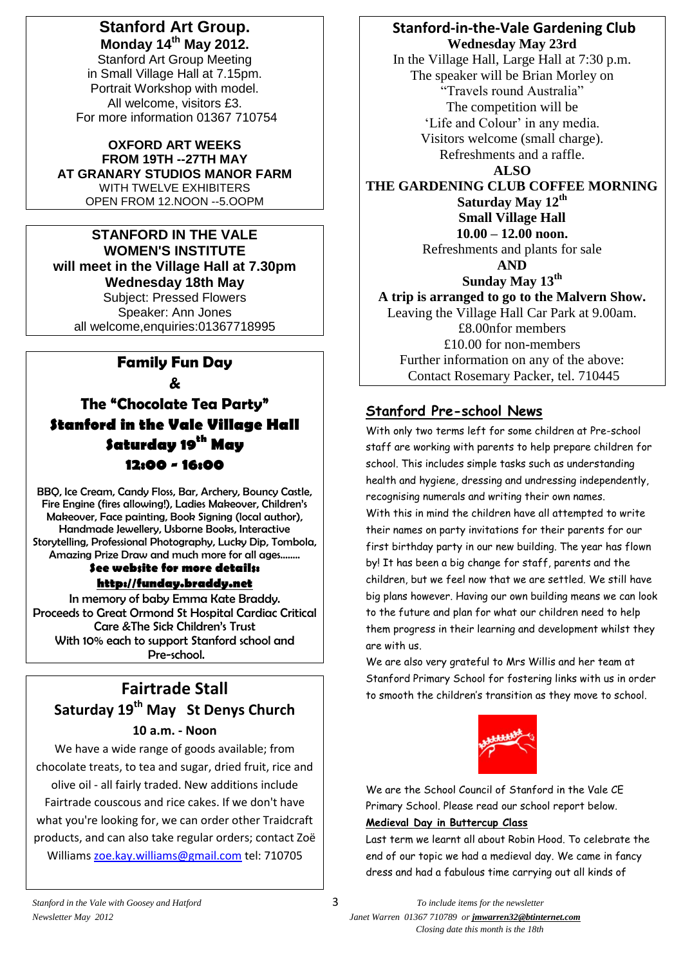### **Stanford Art Group. Monday 14th May 2012.**

Stanford Art Group Meeting in Small Village Hall at 7.15pm. Portrait Workshop with model. All welcome, visitors £3. For more information 01367 710754

**OXFORD ART WEEKS FROM 19TH --27TH MAY AT GRANARY STUDIOS MANOR FARM** WITH TWELVE EXHIBITERS OPEN FROM 12.NOON --5.OOPM

### **STANFORD IN THE VALE WOMEN'S INSTITUTE will meet in the Village Hall at 7.30pm Wednesday 18th May** Subject: Pressed Flowers

Speaker: Ann Jones all welcome,enquiries:01367718995

### **Family Fun Day &**

**The "Chocolate Tea Party" Stanford in the Vale Village Hall Saturday 19th May 12:00 - 16:00**

BBQ, Ice Cream, Candy Floss, Bar, Archery, Bouncy Castle, Fire Engine (fires allowing!), Ladies Makeover, Children's Makeover, Face painting, Book Signing (local author), Handmade Jewellery, Usborne Books, Interactive Storytelling, Professional Photography, Lucky Dip, Tombola, Amazing Prize Draw and much more for all ages……..

#### **See website for more details: [http://funday.braddy.net](http://funday.braddy.net/)**

In memory of baby Emma Kate Braddy. Proceeds to Great Ormond St Hospital Cardiac Critical Care &The Sick Children's Trust With 10% each to support Stanford school and Pre-school.

### **Fairtrade Stall Saturday 19th May St Denys Church 10 a.m. - Noon**

We have a wide range of goods available; from chocolate treats, to tea and sugar, dried fruit, rice and olive oil - all fairly traded. New additions include Fairtrade couscous and rice cakes. If we don't have what you're looking for, we can order other Traidcraft products, and can also take regular orders; contact Zoë Williams [zoe.kay.williams@gmail.com](mailto:zoe.kay.williams@gmail.com) tel: 710705

**Stanford-in-the-Vale Gardening Club Wednesday May 23rd** In the Village Hall, Large Hall at 7:30 p.m. The speaker will be Brian Morley on "Travels round Australia" The competition will be 'Life and Colour' in any media. Visitors welcome (small charge). Refreshments and a raffle. **ALSO THE GARDENING CLUB COFFEE MORNING Saturday May 12th Small Village Hall 10.00 – 12.00 noon.** Refreshments and plants for sale **AND Sunday May 13th A trip is arranged to go to the Malvern Show.** Leaving the Village Hall Car Park at 9.00am. £8.00nfor members £10.00 for non-members Further information on any of the above:

### **Stanford Pre-school News**

With only two terms left for some children at Pre-school staff are working with parents to help prepare children for school. This includes simple tasks such as understanding health and hygiene, dressing and undressing independently, recognising numerals and writing their own names. With this in mind the children have all attempted to write their names on party invitations for their parents for our first birthday party in our new building. The year has flown by! It has been a big change for staff, parents and the children, but we feel now that we are settled. We still have big plans however. Having our own building means we can look to the future and plan for what our children need to help them progress in their learning and development whilst they are with us.

Contact Rosemary Packer, tel. 710445

We are also very grateful to Mrs Willis and her team at Stanford Primary School for fostering links with us in order to smooth the children's transition as they move to school.



We are the School Council of Stanford in the Vale CE Primary School. Please read our school report below.

### **Medieval Day in Buttercup Class**

Last term we learnt all about Robin Hood. To celebrate the end of our topic we had a medieval day. We came in fancy dress and had a fabulous time carrying out all kinds of